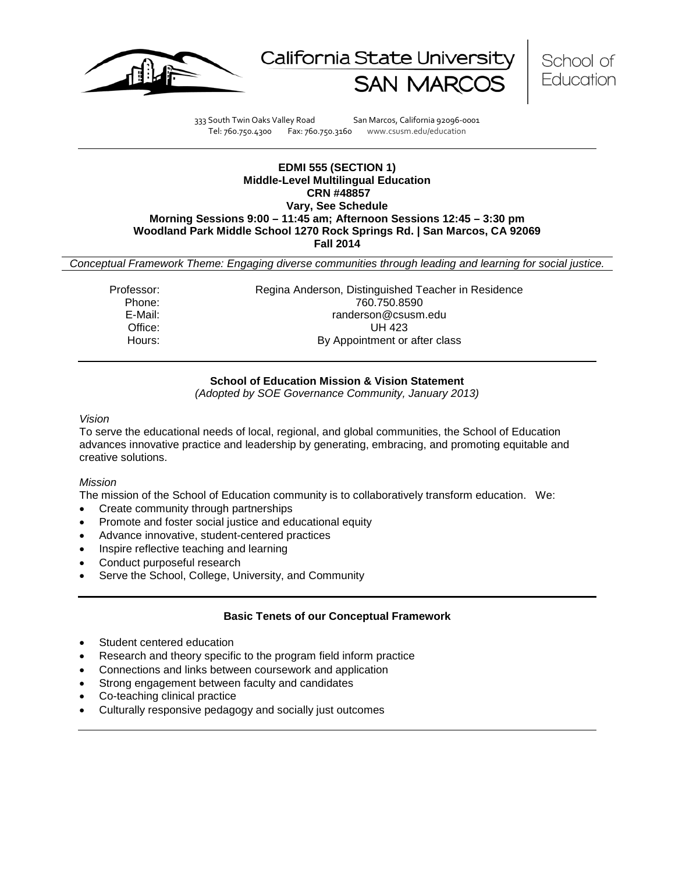





333 South Twin Oaks Valley Road San Marcos, California 92096-0001 Tel: 760.750.4300 Fax: 760.750.3160 www.csusm.edu/education

#### **EDMI 555 (SECTION 1) Middle-Level Multilingual Education CRN #48857 Vary, See Schedule Morning Sessions 9:00 – 11:45 am; Afternoon Sessions 12:45 – 3:30 pm Woodland Park Middle School 1270 Rock Springs Rd. | San Marcos, CA 92069 Fall 2014**

*Conceptual Framework Theme: Engaging diverse communities through leading and learning for social justice.*

Professor: Regina Anderson, Distinguished Teacher in Residence Phone: 760.750.8590 E-Mail: E-Mail: randerson@csusm.edu<br>Office: UH 423 Office: UH 423<br>
Hours: By Appointment or By Appointment or after class

## **School of Education Mission & Vision Statement**

*(Adopted by SOE Governance Community, January 2013)*

#### *Vision*

To serve the educational needs of local, regional, and global communities, the School of Education advances innovative practice and leadership by generating, embracing, and promoting equitable and creative solutions.

### *Mission*

The mission of the School of Education community is to collaboratively transform education. We:

- Create community through partnerships
- Promote and foster social justice and educational equity
- Advance innovative, student-centered practices
- Inspire reflective teaching and learning
- Conduct purposeful research
- Serve the School, College, University, and Community

## **Basic Tenets of our Conceptual Framework**

- Student centered education
- Research and theory specific to the program field inform practice
- Connections and links between coursework and application
- Strong engagement between faculty and candidates
- Co-teaching clinical practice
- Culturally responsive pedagogy and socially just outcomes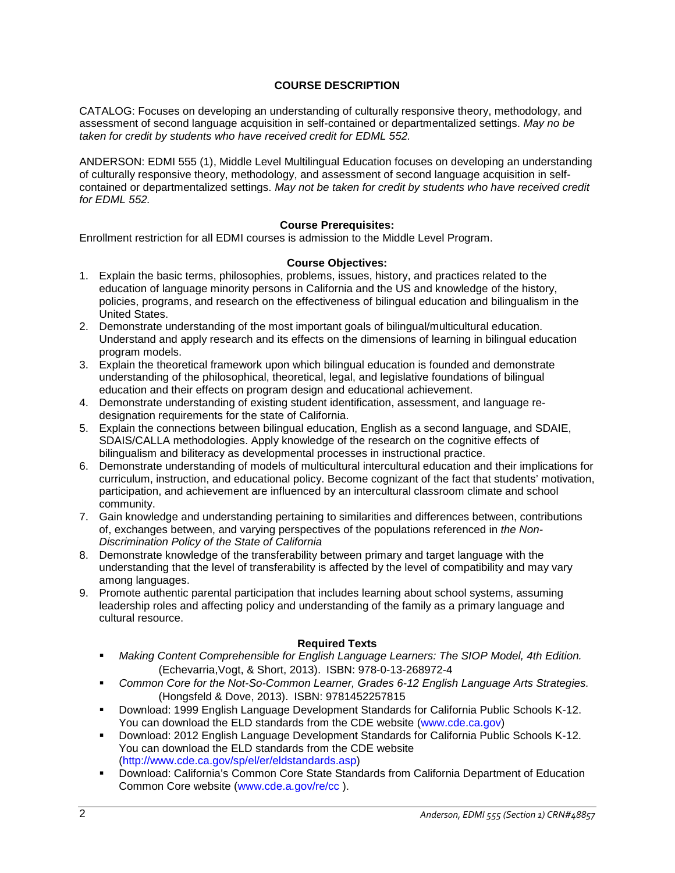## **COURSE DESCRIPTION**

CATALOG: Focuses on developing an understanding of culturally responsive theory, methodology, and assessment of second language acquisition in self-contained or departmentalized settings. *May no be taken for credit by students who have received credit for EDML 552.*

ANDERSON: EDMI 555 (1), Middle Level Multilingual Education focuses on developing an understanding of culturally responsive theory, methodology, and assessment of second language acquisition in selfcontained or departmentalized settings. *May not be taken for credit by students who have received credit for EDML 552.*

#### **Course Prerequisites:**

Enrollment restriction for all EDMI courses is admission to the Middle Level Program.

#### **Course Objectives:**

- 1. Explain the basic terms, philosophies, problems, issues, history, and practices related to the education of language minority persons in California and the US and knowledge of the history, policies, programs, and research on the effectiveness of bilingual education and bilingualism in the United States.
- 2. Demonstrate understanding of the most important goals of bilingual/multicultural education. Understand and apply research and its effects on the dimensions of learning in bilingual education program models.
- 3. Explain the theoretical framework upon which bilingual education is founded and demonstrate understanding of the philosophical, theoretical, legal, and legislative foundations of bilingual education and their effects on program design and educational achievement.
- 4. Demonstrate understanding of existing student identification, assessment, and language redesignation requirements for the state of California.
- 5. Explain the connections between bilingual education, English as a second language, and SDAIE, SDAIS/CALLA methodologies. Apply knowledge of the research on the cognitive effects of bilingualism and biliteracy as developmental processes in instructional practice.
- 6. Demonstrate understanding of models of multicultural intercultural education and their implications for curriculum, instruction, and educational policy. Become cognizant of the fact that students' motivation, participation, and achievement are influenced by an intercultural classroom climate and school community.
- 7. Gain knowledge and understanding pertaining to similarities and differences between, contributions of, exchanges between, and varying perspectives of the populations referenced in *the Non-Discrimination Policy of the State of California*
- 8. Demonstrate knowledge of the transferability between primary and target language with the understanding that the level of transferability is affected by the level of compatibility and may vary among languages.
- 9. Promote authentic parental participation that includes learning about school systems, assuming leadership roles and affecting policy and understanding of the family as a primary language and cultural resource.

### **Required Texts**

- **Making Content Comprehensible for English Language Learners: The SIOP Model, 4th Edition.** (Echevarria,Vogt, & Short, 2013). ISBN: 978-0-13-268972-4
- *Common Core for the Not-So-Common Learner, Grades 6-12 English Language Arts Strategies.*  (Hongsfeld & Dove, 2013). ISBN: 9781452257815
- Download: 1999 English Language Development Standards for California Public Schools K-12. You can download the ELD standards from the CDE website (www.cde.ca.gov)
- Download: 2012 English Language Development Standards for California Public Schools K-12. You can download the ELD standards from the CDE website (http://www.cde.ca.gov/sp/el/er/eldstandards.asp)
- Download: California's Common Core State Standards from California Department of Education Common Core website (www.cde.a.gov/re/cc ).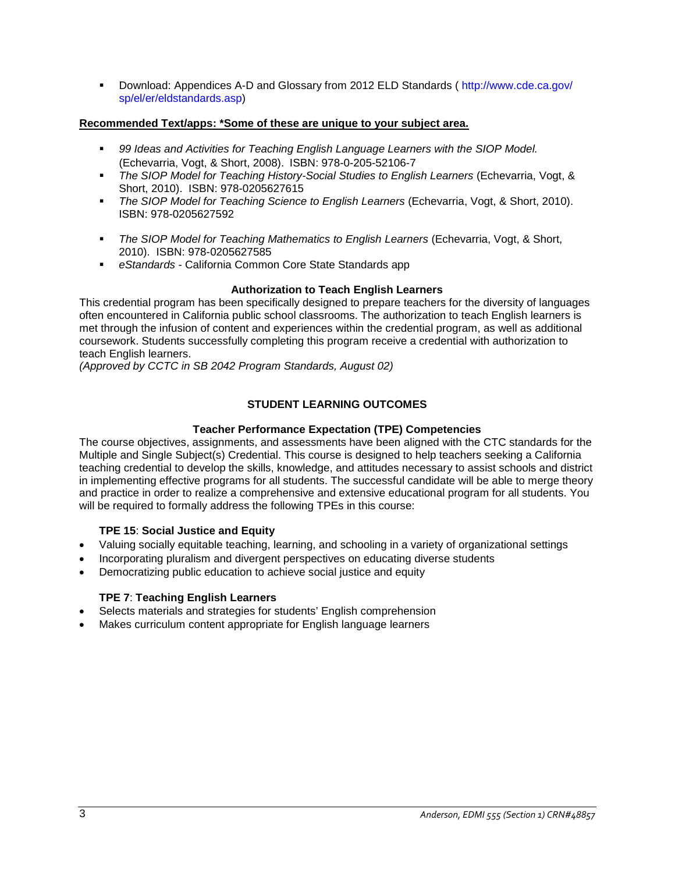Download: Appendices A-D and Glossary from 2012 ELD Standards ( http://www.cde.ca.gov/ sp/el/er/eldstandards.asp)

### **Recommended Text/apps: \*Some of these are unique to your subject area.**

- **99 Ideas and Activities for Teaching English Language Learners with the SIOP Model.** (Echevarria, Vogt, & Short, 2008). ISBN: 978-0-205-52106-7
- *The SIOP Model for Teaching History-Social Studies to English Learners* (Echevarria, Vogt, & Short, 2010). ISBN: 978-0205627615
- *The SIOP Model for Teaching Science to English Learners* (Echevarria, Vogt, & Short, 2010). ISBN: 978-0205627592
- *The SIOP Model for Teaching Mathematics to English Learners* (Echevarria, Vogt, & Short, 2010). ISBN: 978-0205627585
- *eStandards*  California Common Core State Standards app

### **Authorization to Teach English Learners**

This credential program has been specifically designed to prepare teachers for the diversity of languages often encountered in California public school classrooms. The authorization to teach English learners is met through the infusion of content and experiences within the credential program, as well as additional coursework. Students successfully completing this program receive a credential with authorization to teach English learners.

*(Approved by CCTC in SB 2042 Program Standards, August 02)*

## **STUDENT LEARNING OUTCOMES**

## **Teacher Performance Expectation (TPE) Competencies**

The course objectives, assignments, and assessments have been aligned with the CTC standards for the Multiple and Single Subject(s) Credential. This course is designed to help teachers seeking a California teaching credential to develop the skills, knowledge, and attitudes necessary to assist schools and district in implementing effective programs for all students. The successful candidate will be able to merge theory and practice in order to realize a comprehensive and extensive educational program for all students. You will be required to formally address the following TPEs in this course:

## **TPE 15**: **Social Justice and Equity**

- Valuing socially equitable teaching, learning, and schooling in a variety of organizational settings
- Incorporating pluralism and divergent perspectives on educating diverse students
- Democratizing public education to achieve social justice and equity

## **TPE 7**: **Teaching English Learners**

- Selects materials and strategies for students' English comprehension
- Makes curriculum content appropriate for English language learners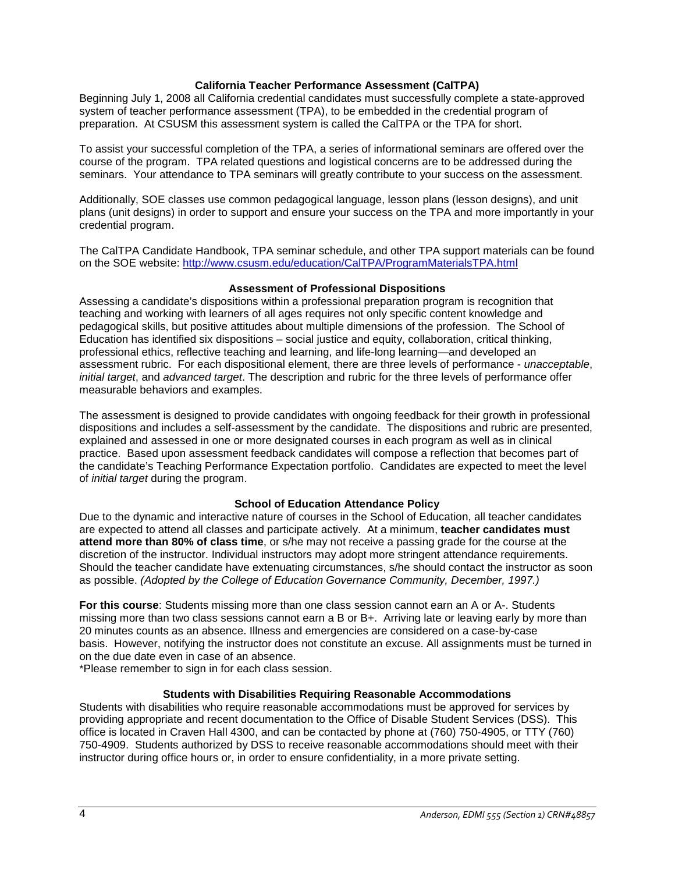### **California Teacher Performance Assessment (CalTPA)**

Beginning July 1, 2008 all California credential candidates must successfully complete a state-approved system of teacher performance assessment (TPA), to be embedded in the credential program of preparation. At CSUSM this assessment system is called the CalTPA or the TPA for short.

To assist your successful completion of the TPA, a series of informational seminars are offered over the course of the program. TPA related questions and logistical concerns are to be addressed during the seminars. Your attendance to TPA seminars will greatly contribute to your success on the assessment.

Additionally, SOE classes use common pedagogical language, lesson plans (lesson designs), and unit plans (unit designs) in order to support and ensure your success on the TPA and more importantly in your credential program.

The CalTPA Candidate Handbook, TPA seminar schedule, and other TPA support materials can be found on the SOE website:<http://www.csusm.edu/education/CalTPA/ProgramMaterialsTPA.html>

#### **Assessment of Professional Dispositions**

Assessing a candidate's dispositions within a professional preparation program is recognition that teaching and working with learners of all ages requires not only specific content knowledge and pedagogical skills, but positive attitudes about multiple dimensions of the profession. The School of Education has identified six dispositions – social justice and equity, collaboration, critical thinking, professional ethics, reflective teaching and learning, and life-long learning—and developed an assessment rubric. For each dispositional element, there are three levels of performance - *unacceptable*, *initial target*, and *advanced target*. The description and rubric for the three levels of performance offer measurable behaviors and examples.

The assessment is designed to provide candidates with ongoing feedback for their growth in professional dispositions and includes a self-assessment by the candidate. The dispositions and rubric are presented, explained and assessed in one or more designated courses in each program as well as in clinical practice. Based upon assessment feedback candidates will compose a reflection that becomes part of the candidate's Teaching Performance Expectation portfolio. Candidates are expected to meet the level of *initial target* during the program.

### **School of Education Attendance Policy**

Due to the dynamic and interactive nature of courses in the School of Education, all teacher candidates are expected to attend all classes and participate actively. At a minimum, **teacher candidates must attend more than 80% of class time**, or s/he may not receive a passing grade for the course at the discretion of the instructor. Individual instructors may adopt more stringent attendance requirements. Should the teacher candidate have extenuating circumstances, s/he should contact the instructor as soon as possible. *(Adopted by the College of Education Governance Community, December, 1997.)*

**For this course**: Students missing more than one class session cannot earn an A or A-. Students missing more than two class sessions cannot earn a B or B+. Arriving late or leaving early by more than 20 minutes counts as an absence. Illness and emergencies are considered on a case-by-case basis. However, notifying the instructor does not constitute an excuse. All assignments must be turned in on the due date even in case of an absence.

\*Please remember to sign in for each class session.

#### **Students with Disabilities Requiring Reasonable Accommodations**

Students with disabilities who require reasonable accommodations must be approved for services by providing appropriate and recent documentation to the Office of Disable Student Services (DSS). This office is located in Craven Hall 4300, and can be contacted by phone at (760) 750-4905, or TTY (760) 750-4909. Students authorized by DSS to receive reasonable accommodations should meet with their instructor during office hours or, in order to ensure confidentiality, in a more private setting.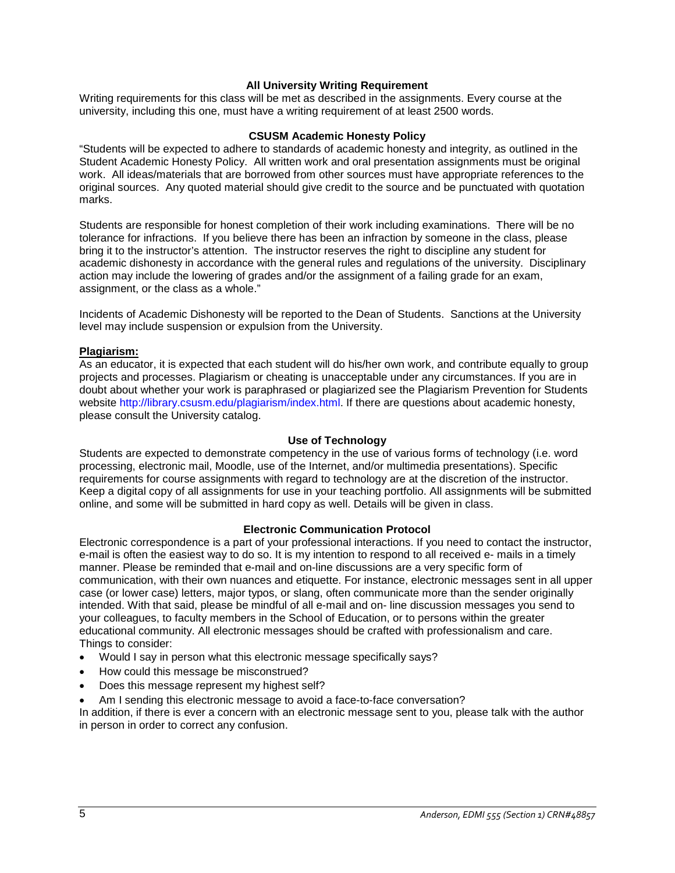### **All University Writing Requirement**

Writing requirements for this class will be met as described in the assignments. Every course at the university, including this one, must have a writing requirement of at least 2500 words.

#### **CSUSM Academic Honesty Policy**

"Students will be expected to adhere to standards of academic honesty and integrity, as outlined in the Student Academic Honesty Policy. All written work and oral presentation assignments must be original work. All ideas/materials that are borrowed from other sources must have appropriate references to the original sources. Any quoted material should give credit to the source and be punctuated with quotation marks.

Students are responsible for honest completion of their work including examinations. There will be no tolerance for infractions. If you believe there has been an infraction by someone in the class, please bring it to the instructor's attention. The instructor reserves the right to discipline any student for academic dishonesty in accordance with the general rules and regulations of the university. Disciplinary action may include the lowering of grades and/or the assignment of a failing grade for an exam, assignment, or the class as a whole."

Incidents of Academic Dishonesty will be reported to the Dean of Students. Sanctions at the University level may include suspension or expulsion from the University.

#### **Plagiarism:**

As an educator, it is expected that each student will do his/her own work, and contribute equally to group projects and processes. Plagiarism or cheating is unacceptable under any circumstances. If you are in doubt about whether your work is paraphrased or plagiarized see the Plagiarism Prevention for Students website http://library.csusm.edu/plagiarism/index.html. If there are questions about academic honesty, please consult the University catalog.

#### **Use of Technology**

Students are expected to demonstrate competency in the use of various forms of technology (i.e. word processing, electronic mail, Moodle, use of the Internet, and/or multimedia presentations). Specific requirements for course assignments with regard to technology are at the discretion of the instructor. Keep a digital copy of all assignments for use in your teaching portfolio. All assignments will be submitted online, and some will be submitted in hard copy as well. Details will be given in class.

#### **Electronic Communication Protocol**

Electronic correspondence is a part of your professional interactions. If you need to contact the instructor, e-mail is often the easiest way to do so. It is my intention to respond to all received e- mails in a timely manner. Please be reminded that e-mail and on-line discussions are a very specific form of communication, with their own nuances and etiquette. For instance, electronic messages sent in all upper case (or lower case) letters, major typos, or slang, often communicate more than the sender originally intended. With that said, please be mindful of all e-mail and on- line discussion messages you send to your colleagues, to faculty members in the School of Education, or to persons within the greater educational community. All electronic messages should be crafted with professionalism and care. Things to consider:

- Would I say in person what this electronic message specifically says?
- How could this message be misconstrued?
- Does this message represent my highest self?
- Am I sending this electronic message to avoid a face-to-face conversation?

In addition, if there is ever a concern with an electronic message sent to you, please talk with the author in person in order to correct any confusion.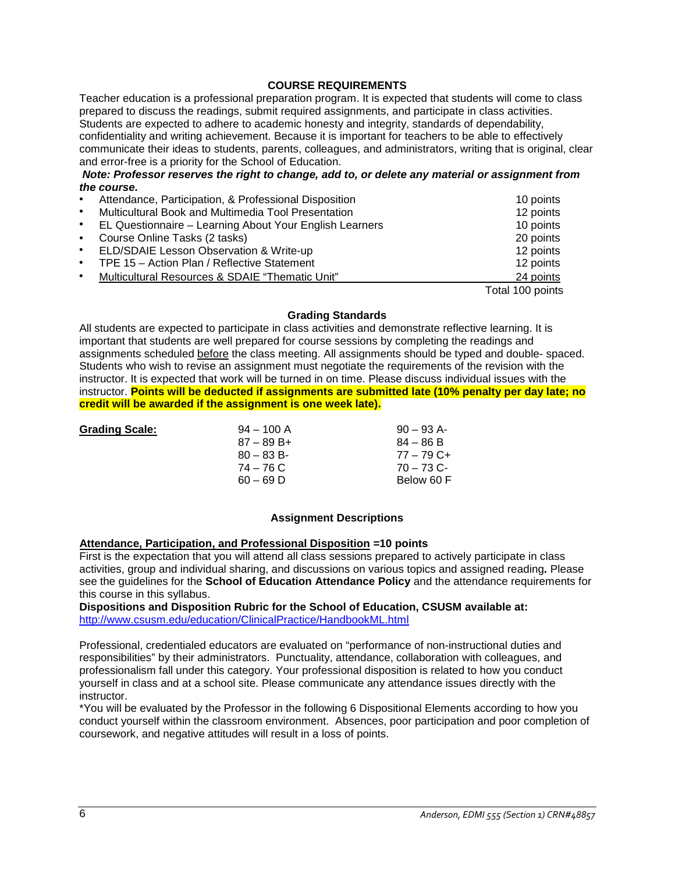### **COURSE REQUIREMENTS**

Teacher education is a professional preparation program. It is expected that students will come to class prepared to discuss the readings, submit required assignments, and participate in class activities. Students are expected to adhere to academic honesty and integrity, standards of dependability, confidentiality and writing achievement. Because it is important for teachers to be able to effectively communicate their ideas to students, parents, colleagues, and administrators, writing that is original, clear and error-free is a priority for the School of Education.

*Note: Professor reserves the right to change, add to, or delete any material or assignment from the course.*

| $\bullet$ | Attendance, Participation, & Professional Disposition   | 10 points        |
|-----------|---------------------------------------------------------|------------------|
| $\bullet$ | Multicultural Book and Multimedia Tool Presentation     | 12 points        |
| $\bullet$ | EL Questionnaire - Learning About Your English Learners | 10 points        |
| $\bullet$ | Course Online Tasks (2 tasks)                           | 20 points        |
| $\bullet$ | ELD/SDAIE Lesson Observation & Write-up                 | 12 points        |
| $\bullet$ | TPE 15 - Action Plan / Reflective Statement             | 12 points        |
| $\bullet$ | Multicultural Resources & SDAIE "Thematic Unit"         | 24 points        |
|           |                                                         | Total 100 points |

### **Grading Standards**

All students are expected to participate in class activities and demonstrate reflective learning. It is important that students are well prepared for course sessions by completing the readings and assignments scheduled before the class meeting. All assignments should be typed and double- spaced. Students who wish to revise an assignment must negotiate the requirements of the revision with the instructor. It is expected that work will be turned in on time. Please discuss individual issues with the instructor. **Points will be deducted if assignments are submitted late (10% penalty per day late; no credit will be awarded if the assignment is one week late).**

| <b>Grading Scale:</b> |
|-----------------------|
|-----------------------|

**Grading Scale:** 94 – 100 A 90 – 93 A- $87 - 89 B +$ <br> $80 - 83 B$ 80 – 83 B- 77 – 79 C+<br>
74 – 76 C 70 – 73 C-60 – 69 D Below 60 F

 $70 - 73$  C-

#### **Assignment Descriptions**

#### **Attendance, Participation, and Professional Disposition =10 points**

First is the expectation that you will attend all class sessions prepared to actively participate in class activities, group and individual sharing, and discussions on various topics and assigned reading**.** Please see the guidelines for the **School of Education Attendance Policy** and the attendance requirements for this course in this syllabus.

**Dispositions and Disposition Rubric for the School of Education, CSUSM available at:** <http://www.csusm.edu/education/ClinicalPractice/HandbookML.html>

Professional, credentialed educators are evaluated on "performance of non-instructional duties and responsibilities" by their administrators. Punctuality, attendance, collaboration with colleagues, and professionalism fall under this category. Your professional disposition is related to how you conduct yourself in class and at a school site. Please communicate any attendance issues directly with the instructor.

\*You will be evaluated by the Professor in the following 6 Dispositional Elements according to how you conduct yourself within the classroom environment. Absences, poor participation and poor completion of coursework, and negative attitudes will result in a loss of points.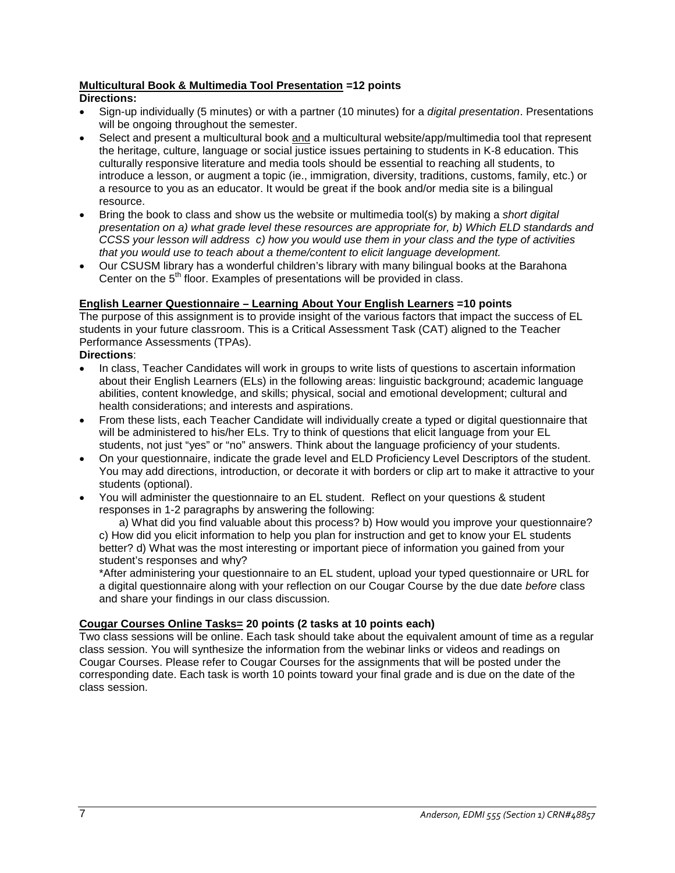## **Multicultural Book & Multimedia Tool Presentation =12 points**

### **Directions:**

- Sign-up individually (5 minutes) or with a partner (10 minutes) for a *digital presentation*. Presentations will be ongoing throughout the semester.
- Select and present a multicultural book and a multicultural website/app/multimedia tool that represent the heritage, culture, language or social justice issues pertaining to students in K-8 education. This culturally responsive literature and media tools should be essential to reaching all students, to introduce a lesson, or augment a topic (ie., immigration, diversity, traditions, customs, family, etc.) or a resource to you as an educator. It would be great if the book and/or media site is a bilingual resource.
- Bring the book to class and show us the website or multimedia tool(s) by making a *short digital presentation on a) what grade level these resources are appropriate for, b) Which ELD standards and CCSS your lesson will address c) how you would use them in your class and the type of activities that you would use to teach about a theme/content to elicit language development.*
- Our CSUSM library has a wonderful children's library with many bilingual books at the Barahona Center on the 5<sup>th</sup> floor. Examples of presentations will be provided in class.

## **English Learner Questionnaire – Learning About Your English Learners =10 points**

The purpose of this assignment is to provide insight of the various factors that impact the success of EL students in your future classroom. This is a Critical Assessment Task (CAT) aligned to the Teacher Performance Assessments (TPAs).

## **Directions**:

- In class, Teacher Candidates will work in groups to write lists of questions to ascertain information about their English Learners (ELs) in the following areas: linguistic background; academic language abilities, content knowledge, and skills; physical, social and emotional development; cultural and health considerations; and interests and aspirations.
- From these lists, each Teacher Candidate will individually create a typed or digital questionnaire that will be administered to his/her ELs. Try to think of questions that elicit language from your EL students, not just "yes" or "no" answers. Think about the language proficiency of your students.
- On your questionnaire, indicate the grade level and ELD Proficiency Level Descriptors of the student. You may add directions, introduction, or decorate it with borders or clip art to make it attractive to your students (optional).
- You will administer the questionnaire to an EL student. Reflect on your questions & student responses in 1-2 paragraphs by answering the following:

a) What did you find valuable about this process? b) How would you improve your questionnaire? c) How did you elicit information to help you plan for instruction and get to know your EL students better? d) What was the most interesting or important piece of information you gained from your student's responses and why?

\*After administering your questionnaire to an EL student, upload your typed questionnaire or URL for a digital questionnaire along with your reflection on our Cougar Course by the due date *before* class and share your findings in our class discussion.

### **Cougar Courses Online Tasks= 20 points (2 tasks at 10 points each)**

Two class sessions will be online. Each task should take about the equivalent amount of time as a regular class session. You will synthesize the information from the webinar links or videos and readings on Cougar Courses. Please refer to Cougar Courses for the assignments that will be posted under the corresponding date. Each task is worth 10 points toward your final grade and is due on the date of the class session.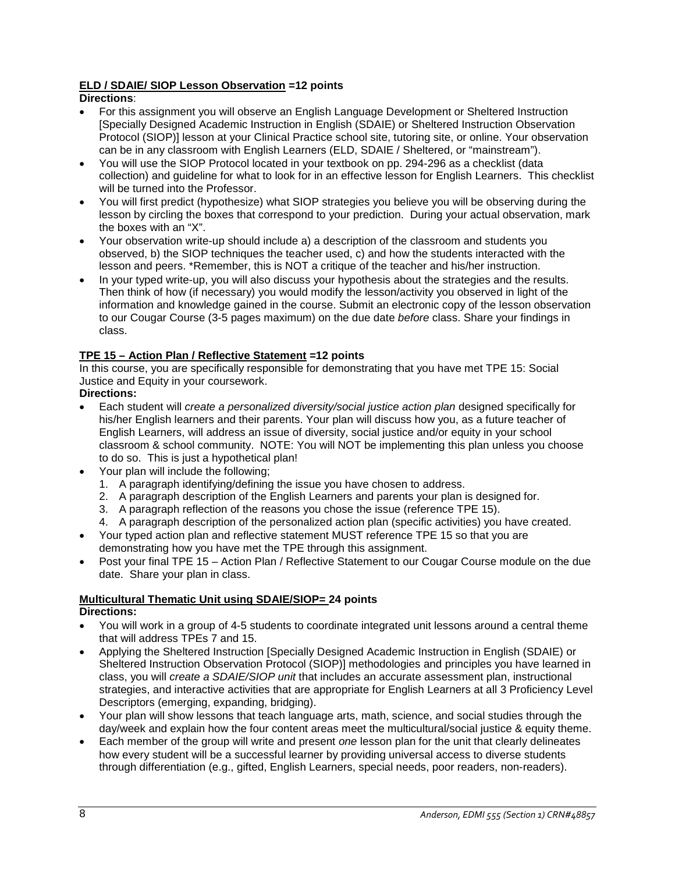## **ELD / SDAIE/ SIOP Lesson Observation =12 points**

## **Directions**:

- For this assignment you will observe an English Language Development or Sheltered Instruction [Specially Designed Academic Instruction in English (SDAIE) or Sheltered Instruction Observation Protocol (SIOP)] lesson at your Clinical Practice school site, tutoring site, or online. Your observation can be in any classroom with English Learners (ELD, SDAIE / Sheltered, or "mainstream").
- You will use the SIOP Protocol located in your textbook on pp. 294-296 as a checklist (data collection) and guideline for what to look for in an effective lesson for English Learners. This checklist will be turned into the Professor.
- You will first predict (hypothesize) what SIOP strategies you believe you will be observing during the lesson by circling the boxes that correspond to your prediction. During your actual observation, mark the boxes with an "X".
- Your observation write-up should include a) a description of the classroom and students you observed, b) the SIOP techniques the teacher used, c) and how the students interacted with the lesson and peers. \*Remember, this is NOT a critique of the teacher and his/her instruction.
- In your typed write-up, you will also discuss your hypothesis about the strategies and the results. Then think of how (if necessary) you would modify the lesson/activity you observed in light of the information and knowledge gained in the course. Submit an electronic copy of the lesson observation to our Cougar Course (3-5 pages maximum) on the due date *before* class. Share your findings in class.

## **TPE 15 – Action Plan / Reflective Statement =12 points**

In this course, you are specifically responsible for demonstrating that you have met TPE 15: Social Justice and Equity in your coursework.

## **Directions:**

- Each student will *create a personalized diversity/social justice action plan* designed specifically for his/her English learners and their parents. Your plan will discuss how you, as a future teacher of English Learners, will address an issue of diversity, social justice and/or equity in your school classroom & school community. NOTE: You will NOT be implementing this plan unless you choose to do so. This is just a hypothetical plan!
- Your plan will include the following;
	- 1. A paragraph identifying/defining the issue you have chosen to address.
	- 2. A paragraph description of the English Learners and parents your plan is designed for.
	- 3. A paragraph reflection of the reasons you chose the issue (reference TPE 15).
	- 4. A paragraph description of the personalized action plan (specific activities) you have created.
- Your typed action plan and reflective statement MUST reference TPE 15 so that you are demonstrating how you have met the TPE through this assignment.
- Post your final TPE 15 Action Plan / Reflective Statement to our Cougar Course module on the due date. Share your plan in class.

#### **Multicultural Thematic Unit using SDAIE/SIOP= 24 points Directions:**

- You will work in a group of 4-5 students to coordinate integrated unit lessons around a central theme that will address TPEs 7 and 15.
- Applying the Sheltered Instruction [Specially Designed Academic Instruction in English (SDAIE) or Sheltered Instruction Observation Protocol (SIOP)] methodologies and principles you have learned in class, you will *create a SDAIE/SIOP unit* that includes an accurate assessment plan, instructional strategies, and interactive activities that are appropriate for English Learners at all 3 Proficiency Level Descriptors (emerging, expanding, bridging).
- Your plan will show lessons that teach language arts, math, science, and social studies through the day/week and explain how the four content areas meet the multicultural/social justice & equity theme.
- Each member of the group will write and present *one* lesson plan for the unit that clearly delineates how every student will be a successful learner by providing universal access to diverse students through differentiation (e.g., gifted, English Learners, special needs, poor readers, non-readers).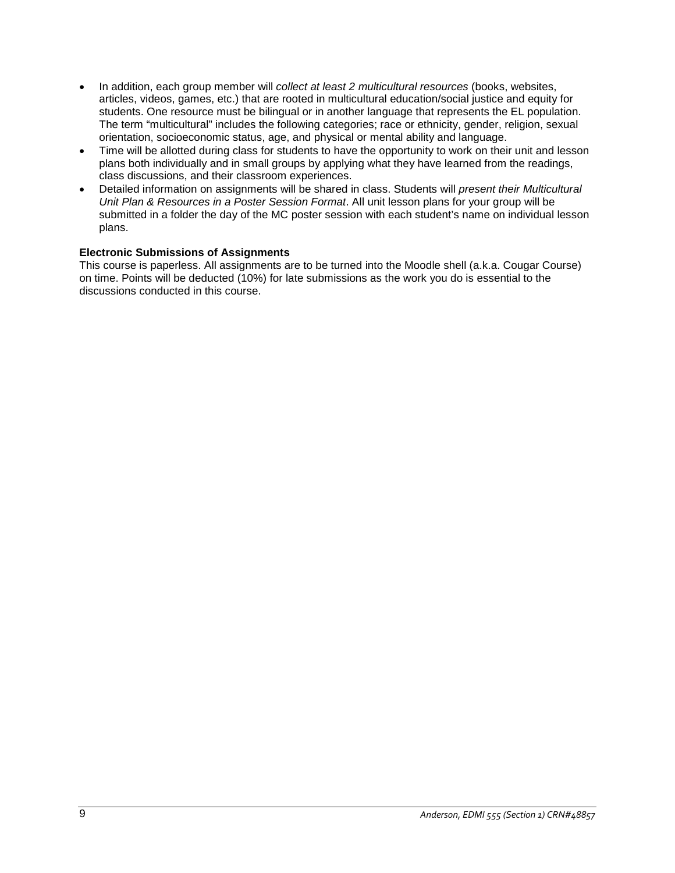- In addition, each group member will *collect at least 2 multicultural resources* (books, websites, articles, videos, games, etc.) that are rooted in multicultural education/social justice and equity for students. One resource must be bilingual or in another language that represents the EL population. The term "multicultural" includes the following categories; race or ethnicity, gender, religion, sexual orientation, socioeconomic status, age, and physical or mental ability and language.
- Time will be allotted during class for students to have the opportunity to work on their unit and lesson plans both individually and in small groups by applying what they have learned from the readings, class discussions, and their classroom experiences.
- Detailed information on assignments will be shared in class. Students will *present their Multicultural Unit Plan & Resources in a Poster Session Format*. All unit lesson plans for your group will be submitted in a folder the day of the MC poster session with each student's name on individual lesson plans.

### **Electronic Submissions of Assignments**

This course is paperless. All assignments are to be turned into the Moodle shell (a.k.a. Cougar Course) on time. Points will be deducted (10%) for late submissions as the work you do is essential to the discussions conducted in this course.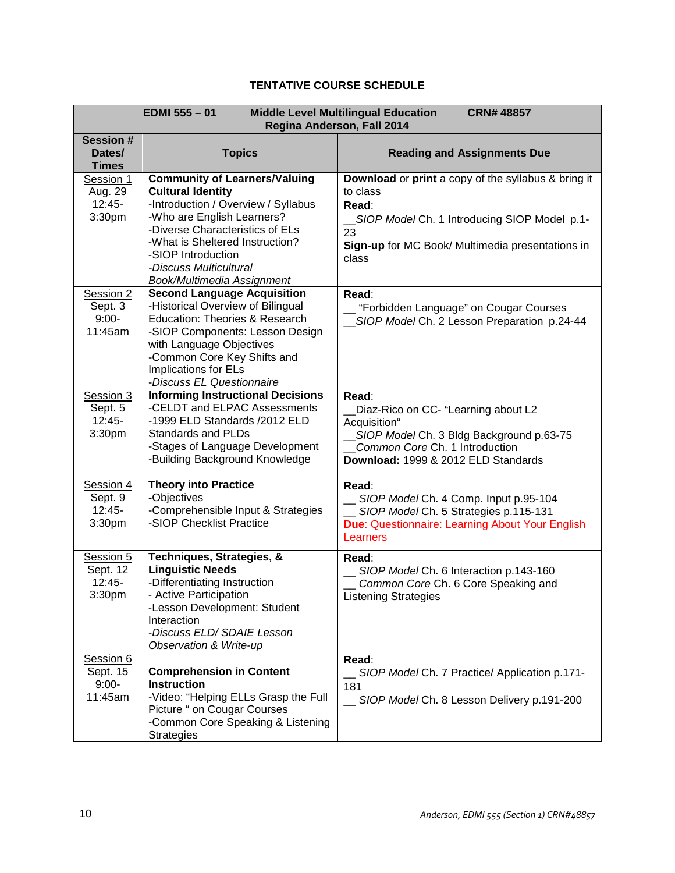# **TENTATIVE COURSE SCHEDULE**

| EDMI 555-01<br><b>Middle Level Multilingual Education</b><br><b>CRN# 48857</b><br>Regina Anderson, Fall 2014 |                                                                                                                                                                                                                                                                                           |                                                                                                                                                                                              |  |  |  |
|--------------------------------------------------------------------------------------------------------------|-------------------------------------------------------------------------------------------------------------------------------------------------------------------------------------------------------------------------------------------------------------------------------------------|----------------------------------------------------------------------------------------------------------------------------------------------------------------------------------------------|--|--|--|
| <b>Session#</b><br>Dates/<br><b>Times</b>                                                                    | <b>Topics</b>                                                                                                                                                                                                                                                                             | <b>Reading and Assignments Due</b>                                                                                                                                                           |  |  |  |
| Session 1<br>Aug. 29<br>$12:45-$<br>3:30pm                                                                   | <b>Community of Learners/Valuing</b><br><b>Cultural Identity</b><br>-Introduction / Overview / Syllabus<br>-Who are English Learners?<br>-Diverse Characteristics of ELs<br>-What is Sheltered Instruction?<br>-SIOP Introduction<br>-Discuss Multicultural<br>Book/Multimedia Assignment | Download or print a copy of the syllabus & bring it<br>to class<br>Read:<br>_SIOP Model Ch. 1 Introducing SIOP Model p.1-<br>23<br>Sign-up for MC Book/ Multimedia presentations in<br>class |  |  |  |
| Session 2<br>Sept. 3<br>$9:00-$<br>11:45am                                                                   | <b>Second Language Acquisition</b><br>-Historical Overview of Bilingual<br>Education: Theories & Research<br>-SIOP Components: Lesson Design<br>with Language Objectives<br>-Common Core Key Shifts and<br>Implications for ELs<br>-Discuss EL Questionnaire                              | Read:<br>"Forbidden Language" on Cougar Courses<br>SIOP Model Ch. 2 Lesson Preparation p.24-44                                                                                               |  |  |  |
| Session 3<br>Sept. 5<br>$12:45-$<br>3:30pm                                                                   | <b>Informing Instructional Decisions</b><br>-CELDT and ELPAC Assessments<br>-1999 ELD Standards /2012 ELD<br><b>Standards and PLDs</b><br>-Stages of Language Development<br>-Building Background Knowledge                                                                               | Read:<br>Diaz-Rico on CC- "Learning about L2<br>Acquisition"<br>SIOP Model Ch. 3 Bldg Background p.63-75<br>Common Core Ch. 1 Introduction<br>Download: 1999 & 2012 ELD Standards            |  |  |  |
| Session 4<br>Sept. 9<br>$12:45-$<br>3:30pm                                                                   | <b>Theory into Practice</b><br>-Objectives<br>-Comprehensible Input & Strategies<br>-SIOP Checklist Practice                                                                                                                                                                              | Read:<br>SIOP Model Ch. 4 Comp. Input p.95-104<br>SIOP Model Ch. 5 Strategies p.115-131<br>Due: Questionnaire: Learning About Your English<br>Learners                                       |  |  |  |
| Session 5<br>Sept. 12<br>$12:45-$<br>3:30 <sub>pm</sub>                                                      | Techniques, Strategies, &<br><b>Linguistic Needs</b><br>-Differentiating Instruction<br>- Active Participation<br>-Lesson Development: Student<br>Interaction<br>-Discuss ELD/ SDAIE Lesson<br>Observation & Write-up                                                                     | Read:<br>SIOP Model Ch. 6 Interaction p.143-160<br>Common Core Ch. 6 Core Speaking and<br><b>Listening Strategies</b>                                                                        |  |  |  |
| Session 6<br>Sept. 15<br>$9:00-$<br>11:45am                                                                  | <b>Comprehension in Content</b><br><b>Instruction</b><br>-Video: "Helping ELLs Grasp the Full<br>Picture " on Cougar Courses<br>-Common Core Speaking & Listening<br><b>Strategies</b>                                                                                                    | Read:<br>SIOP Model Ch. 7 Practice/ Application p.171-<br>181<br>SIOP Model Ch. 8 Lesson Delivery p.191-200                                                                                  |  |  |  |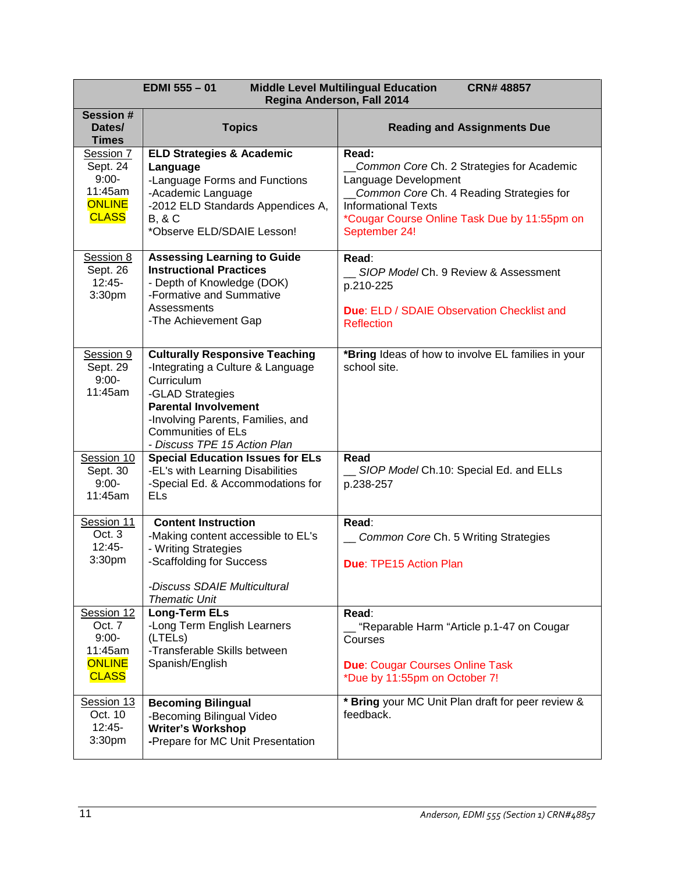| <b>Middle Level Multilingual Education</b><br><b>EDMI 555 - 01</b><br><b>CRN#48857</b><br>Regina Anderson, Fall 2014 |                                                                                                                                                                                                                                               |                                                                                                                                                                                                                       |  |  |
|----------------------------------------------------------------------------------------------------------------------|-----------------------------------------------------------------------------------------------------------------------------------------------------------------------------------------------------------------------------------------------|-----------------------------------------------------------------------------------------------------------------------------------------------------------------------------------------------------------------------|--|--|
| <b>Session #</b><br>Dates/<br><b>Times</b>                                                                           | <b>Topics</b>                                                                                                                                                                                                                                 | <b>Reading and Assignments Due</b>                                                                                                                                                                                    |  |  |
| Session 7<br>Sept. 24<br>$9:00-$<br>11:45am<br><b>ONLINE</b><br><b>CLASS</b>                                         | <b>ELD Strategies &amp; Academic</b><br>Language<br>-Language Forms and Functions<br>-Academic Language<br>-2012 ELD Standards Appendices A,<br><b>B, &amp; C</b><br>*Observe ELD/SDAIE Lesson!                                               | Read:<br>Common Core Ch. 2 Strategies for Academic<br>Language Development<br>Common Core Ch. 4 Reading Strategies for<br><b>Informational Texts</b><br>*Cougar Course Online Task Due by 11:55pm on<br>September 24! |  |  |
| Session 8<br>Sept. 26<br>$12:45-$<br>3:30pm                                                                          | <b>Assessing Learning to Guide</b><br><b>Instructional Practices</b><br>- Depth of Knowledge (DOK)<br>-Formative and Summative<br>Assessments<br>-The Achievement Gap                                                                         | Read:<br>__ SIOP Model Ch. 9 Review & Assessment<br>p.210-225<br>Due: ELD / SDAIE Observation Checklist and<br><b>Reflection</b>                                                                                      |  |  |
| Session 9<br>Sept. 29<br>$9:00-$<br>11:45am                                                                          | <b>Culturally Responsive Teaching</b><br>-Integrating a Culture & Language<br>Curriculum<br>-GLAD Strategies<br><b>Parental Involvement</b><br>-Involving Parents, Families, and<br><b>Communities of ELs</b><br>- Discuss TPE 15 Action Plan | *Bring Ideas of how to involve EL families in your<br>school site.                                                                                                                                                    |  |  |
| Session 10<br>Sept. 30<br>$9:00-$<br>11:45am                                                                         | <b>Special Education Issues for ELs</b><br>-EL's with Learning Disabilities<br>-Special Ed. & Accommodations for<br><b>ELs</b>                                                                                                                | Read<br>SIOP Model Ch.10: Special Ed. and ELLs<br>p.238-257                                                                                                                                                           |  |  |
| Session 11<br>Oct. 3<br>$12:45-$<br>3:30pm                                                                           | <b>Content Instruction</b><br>-Making content accessible to EL's<br>- Writing Strategies<br>-Scaffolding for Success<br>-Discuss SDAIE Multicultural<br><b>Thematic Unit</b>                                                                  | Read:<br>Common Core Ch. 5 Writing Strategies<br><b>Due: TPE15 Action Plan</b>                                                                                                                                        |  |  |
| Session 12<br>Oct. 7<br>$9:00-$<br>11:45am<br><b>ONLINE</b><br><b>CLASS</b>                                          | <b>Long-Term ELs</b><br>-Long Term English Learners<br>(LTELs)<br>-Transferable Skills between<br>Spanish/English                                                                                                                             | Read:<br>"Reparable Harm "Article p.1-47 on Cougar<br>Courses<br><b>Due: Cougar Courses Online Task</b><br>*Due by 11:55pm on October 7!                                                                              |  |  |
| Session 13<br>Oct. 10<br>$12:45-$<br>3:30 <sub>pm</sub>                                                              | <b>Becoming Bilingual</b><br>-Becoming Bilingual Video<br><b>Writer's Workshop</b><br>-Prepare for MC Unit Presentation                                                                                                                       | * Bring your MC Unit Plan draft for peer review &<br>feedback.                                                                                                                                                        |  |  |